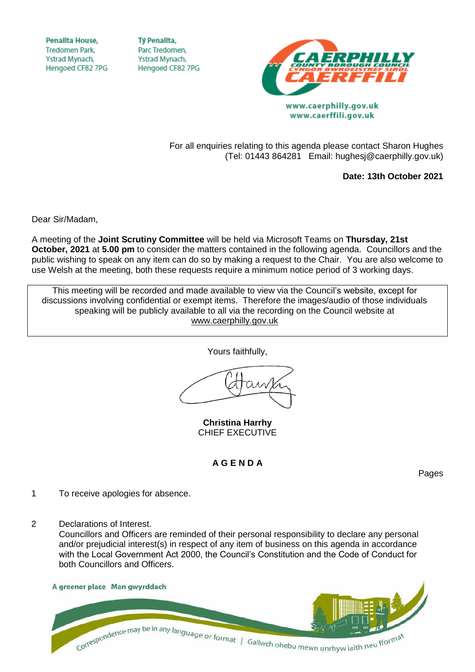**Penallta House, Tredomen Park.** Ystrad Mynach, Hengoed CF82 7PG

**TV Penallta,** Parc Tredomen. Ystrad Mynach, Hengoed CF82 7PG



www.caerphilly.gov.uk www.caerffili.gov.uk

For all enquiries relating to this agenda please contact Sharon Hughes (Tel: 01443 864281 Email: hughesj@caerphilly.gov.uk)

**Date: 13th October 2021**

Dear Sir/Madam,

A meeting of the **Joint Scrutiny Committee** will be held via Microsoft Teams on **Thursday, 21st October, 2021** at **5.00 pm** to consider the matters contained in the following agenda. Councillors and the public wishing to speak on any item can do so by making a request to the Chair. You are also welcome to use Welsh at the meeting, both these requests require a minimum notice period of 3 working days.

This meeting will be recorded and made available to view via the Council's website, except for discussions involving confidential or exempt items. Therefore the images/audio of those individuals speaking will be publicly available to all via the recording on the Council website at [www.caerphilly.gov.uk](http://www.caerphilly.gov.uk/)

Yours faithfully,

**Christina Harrhy** CHIEF EXECUTIVE

## **A G E N D A**

Pages

- 1 To receive apologies for absence.
- 2 Declarations of Interest.

Councillors and Officers are reminded of their personal responsibility to declare any personal and/or prejudicial interest(s) in respect of any item of business on this agenda in accordance with the Local Government Act 2000, the Council's Constitution and the Code of Conduct for both Councillors and Officers.